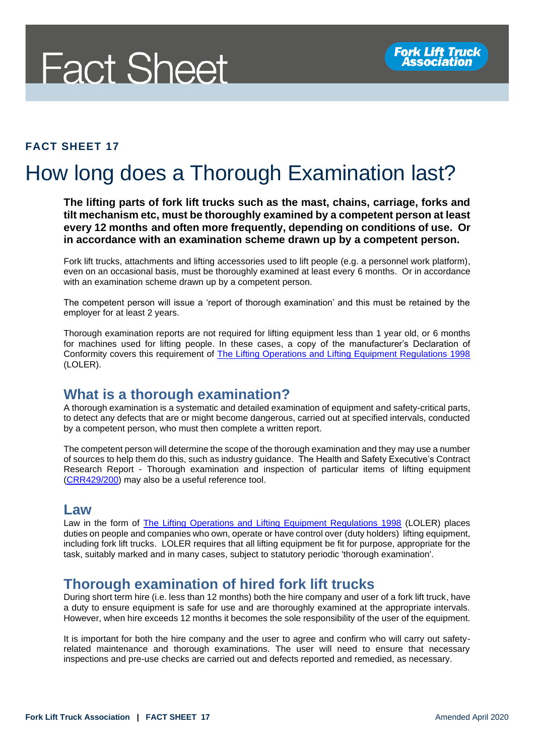# **Fact Sheet**

#### **FACT SHEET 17**

# How long does a Thorough Examination last?

**The lifting parts of fork lift trucks such as the mast, chains, carriage, forks and tilt mechanism etc, must be thoroughly examined by a competent person at least every 12 months and often more frequently, depending on conditions of use. Or in accordance with an examination scheme drawn up by a competent person.** 

Fork lift trucks, attachments and lifting accessories used to lift people (e.g. a personnel work platform), even on an occasional basis, must be thoroughly examined at least every 6 months. Or in accordance with an examination scheme drawn up by a competent person.

The competent person will issue a 'report of thorough examination' and this must be retained by the employer for at least 2 years.

Thorough examination reports are not required for lifting equipment less than 1 year old, or 6 months for machines used for lifting people. In these cases, a copy of the manufacturer's Declaration of Conformity covers this requirement of [The Lifting Operations and Lifting Equipment Regulations 1998](http://www.legislation.gov.uk/uksi/1998/2307/contents/made) (LOLER).

### **What is a thorough examination?**

A thorough examination is a systematic and detailed examination of equipment and safety-critical parts, to detect any defects that are or might become dangerous, carried out at specified intervals, conducted by a competent person, who must then complete a written report.

The competent person will determine the scope of the thorough examination and they may use a number of sources to help them do this, such as industry guidance. The Health and Safety Executive's Contract Research Report - Thorough examination and inspection of particular items of lifting equipment [\(CRR429/200\)](https://www.hse.gov.uk/research/crr_htm/crr02429.htm) may also be a useful reference tool.

#### **Law**

Law in the form of [The Lifting Operations and Lifting Equipment Regulations 1998](http://www.legislation.gov.uk/uksi/1998/2307/contents/made) (LOLER) places duties on people and companies who own, operate or have control over (duty holders) lifting equipment, including fork lift trucks. LOLER requires that all lifting equipment be fit for purpose, appropriate for the task, suitably marked and in many cases, subject to statutory periodic 'thorough examination'.

#### **Thorough examination of hired fork lift trucks**

During short term hire (i.e. less than 12 months) both the hire company and user of a fork lift truck, have a duty to ensure equipment is safe for use and are thoroughly examined at the appropriate intervals. However, when hire exceeds 12 months it becomes the sole responsibility of the user of the equipment.

It is important for both the hire company and the user to agree and confirm who will carry out safetyrelated maintenance and thorough examinations. The user will need to ensure that necessary inspections and pre-use checks are carried out and defects reported and remedied, as necessary.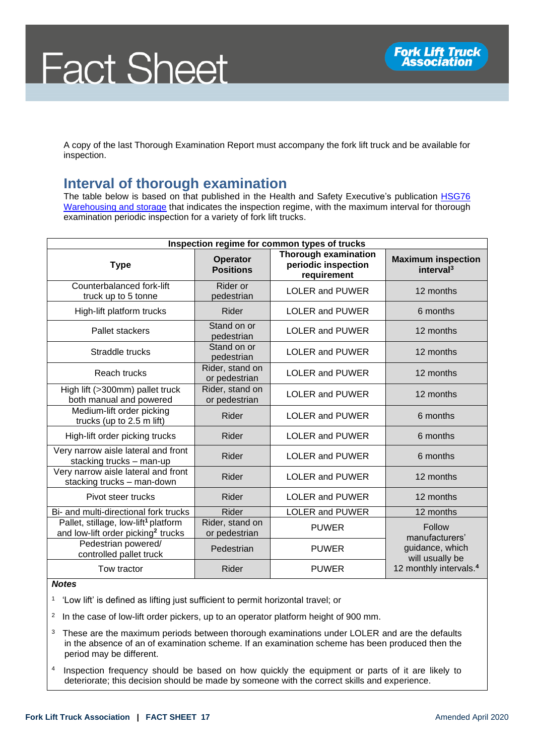A copy of the last Thorough Examination Report must accompany the fork lift truck and be available for inspection.

## **Interval of thorough examination**

The table below is based on that published in the Health and Safety Executive's publication [HSG76](https://www.hse.gov.uk/pubns/priced/hsg76.pdf)  [Warehousing and storage](https://www.hse.gov.uk/pubns/priced/hsg76.pdf) that indicates the inspection regime, with the maximum interval for thorough examination periodic inspection for a variety of fork lift trucks.

| Inspection regime for common types of trucks                                                       |                                     |                                                                   |                                                                                                      |
|----------------------------------------------------------------------------------------------------|-------------------------------------|-------------------------------------------------------------------|------------------------------------------------------------------------------------------------------|
| <b>Type</b>                                                                                        | <b>Operator</b><br><b>Positions</b> | <b>Thorough examination</b><br>periodic inspection<br>requirement | <b>Maximum inspection</b><br>interval <sup>3</sup>                                                   |
| Counterbalanced fork-lift<br>truck up to 5 tonne                                                   | Rider or<br>pedestrian              | <b>LOLER and PUWER</b>                                            | 12 months                                                                                            |
| High-lift platform trucks                                                                          | Rider                               | <b>LOLER and PUWER</b>                                            | 6 months                                                                                             |
| Pallet stackers                                                                                    | Stand on or<br>pedestrian           | <b>LOLER and PUWER</b>                                            | 12 months                                                                                            |
| Straddle trucks                                                                                    | Stand on or<br>pedestrian           | <b>LOLER and PUWER</b>                                            | 12 months                                                                                            |
| Reach trucks                                                                                       | Rider, stand on<br>or pedestrian    | <b>LOLER and PUWER</b>                                            | 12 months                                                                                            |
| High lift (>300mm) pallet truck<br>both manual and powered                                         | Rider, stand on<br>or pedestrian    | <b>LOLER and PUWER</b>                                            | 12 months                                                                                            |
| Medium-lift order picking<br>trucks (up to 2.5 m lift)                                             | Rider                               | <b>LOLER and PUWER</b>                                            | 6 months                                                                                             |
| High-lift order picking trucks                                                                     | Rider                               | <b>LOLER and PUWER</b>                                            | 6 months                                                                                             |
| Very narrow aisle lateral and front<br>stacking trucks - man-up                                    | Rider                               | <b>LOLER and PUWER</b>                                            | 6 months                                                                                             |
| Very narrow aisle lateral and front<br>stacking trucks - man-down                                  | Rider                               | <b>LOLER and PUWER</b>                                            | 12 months                                                                                            |
| Pivot steer trucks                                                                                 | Rider                               | <b>LOLER and PUWER</b>                                            | 12 months                                                                                            |
| Bi- and multi-directional fork trucks                                                              | <b>Rider</b>                        | <b>LOLER and PUWER</b>                                            | 12 months                                                                                            |
| Pallet, stillage, low-lift <sup>1</sup> platform<br>and low-lift order picking <sup>2</sup> trucks | Rider, stand on<br>or pedestrian    | <b>PUWER</b>                                                      | Follow<br>manufacturers'<br>guidance, which<br>will usually be<br>12 monthly intervals. <sup>4</sup> |
| Pedestrian powered/<br>controlled pallet truck                                                     | Pedestrian                          | <b>PUWER</b>                                                      |                                                                                                      |
| Tow tractor                                                                                        | Rider                               | <b>PUWER</b>                                                      |                                                                                                      |

#### *Notes*

1 'Low lift' is defined as lifting just sufficient to permit horizontal travel; or

- $2$  In the case of low-lift order pickers, up to an operator platform height of 900 mm.
- <sup>3</sup> These are the maximum periods between thorough examinations under LOLER and are the defaults in the absence of an of examination scheme. If an examination scheme has been produced then the period may be different.
- 4 Inspection frequency should be based on how quickly the equipment or parts of it are likely to deteriorate; this decision should be made by someone with the correct skills and experience.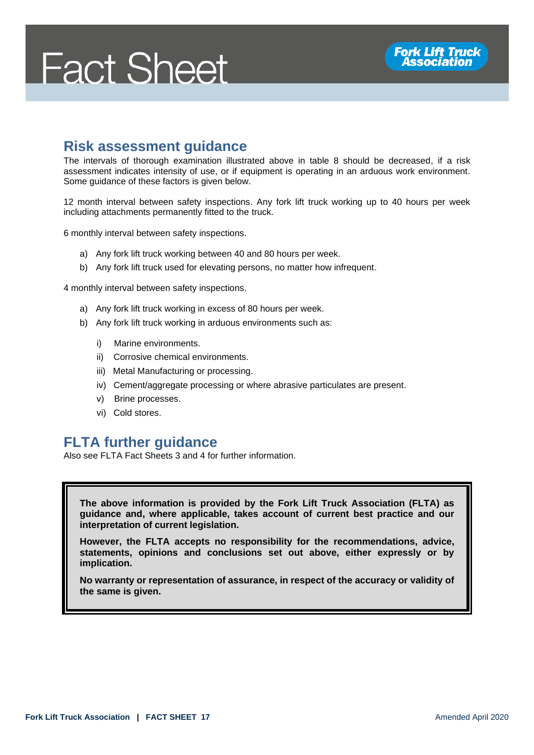# **Fact Sheet**

### **Risk assessment guidance**

The intervals of thorough examination illustrated above in table 8 should be decreased, if a risk assessment indicates intensity of use, or if equipment is operating in an arduous work environment. Some guidance of these factors is given below.

12 month interval between safety inspections. Any fork lift truck working up to 40 hours per week including attachments permanently fitted to the truck.

6 monthly interval between safety inspections.

- a) Any fork lift truck working between 40 and 80 hours per week.
- b) Any fork lift truck used for elevating persons, no matter how infrequent.

4 monthly interval between safety inspections.

- a) Any fork lift truck working in excess of 80 hours per week.
- b) Any fork lift truck working in arduous environments such as:
	- i) Marine environments.
	- ii) Corrosive chemical environments.
	- iii) Metal Manufacturing or processing.
	- iv) Cement/aggregate processing or where abrasive particulates are present.
	- v) Brine processes.
	- vi) Cold stores.

#### **FLTA further guidance**

Also see FLTA Fact Sheets 3 and 4 for further information.

**The above information is provided by the Fork Lift Truck Association (FLTA) as guidance and, where applicable, takes account of current best practice and our interpretation of current legislation.** 

**However, the FLTA accepts no responsibility for the recommendations, advice, statements, opinions and conclusions set out above, either expressly or by implication.**

**No warranty or representation of assurance, in respect of the accuracy or validity of the same is given.**